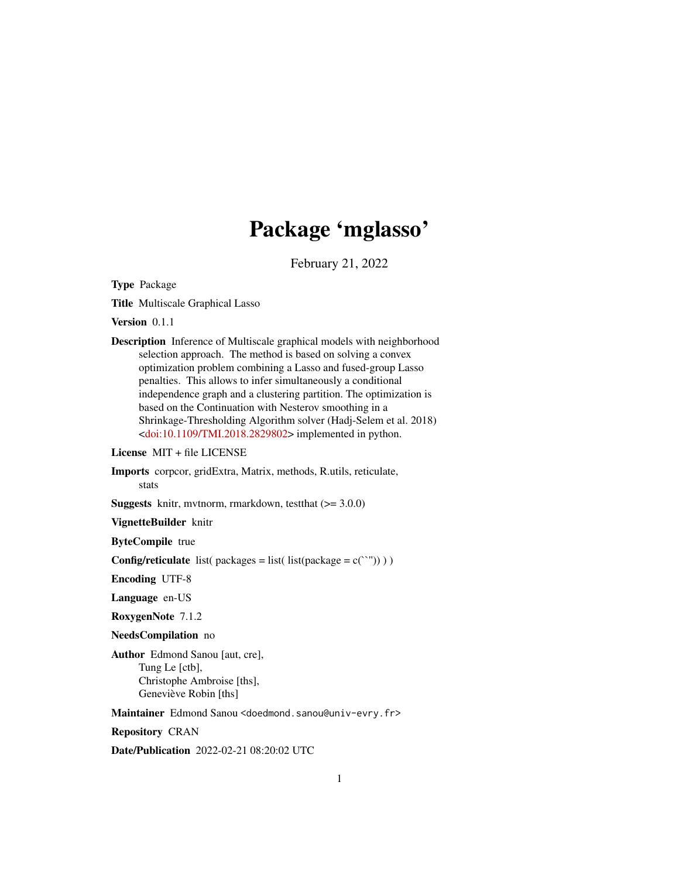# Package 'mglasso'

February 21, 2022

Type Package

Title Multiscale Graphical Lasso

Version 0.1.1

Description Inference of Multiscale graphical models with neighborhood selection approach. The method is based on solving a convex optimization problem combining a Lasso and fused-group Lasso penalties. This allows to infer simultaneously a conditional independence graph and a clustering partition. The optimization is based on the Continuation with Nesterov smoothing in a Shrinkage-Thresholding Algorithm solver (Hadj-Selem et al. 2018)  $\langle \text{doi:10.1109/TMI}.2018.2829802 \rangle$  implemented in python.

License MIT + file LICENSE

Imports corpcor, gridExtra, Matrix, methods, R.utils, reticulate, stats

**Suggests** knitr, mvtnorm, rmarkdown, test that  $(>= 3.0.0)$ 

VignetteBuilder knitr

ByteCompile true

**Config/reticulate** list( packages = list( list(package = c(``")) ) )

Encoding UTF-8

Language en-US

RoxygenNote 7.1.2

NeedsCompilation no

Author Edmond Sanou [aut, cre], Tung Le [ctb], Christophe Ambroise [ths], Geneviève Robin [ths]

Maintainer Edmond Sanou <doedmond.sanou@univ-evry.fr>

Repository CRAN

Date/Publication 2022-02-21 08:20:02 UTC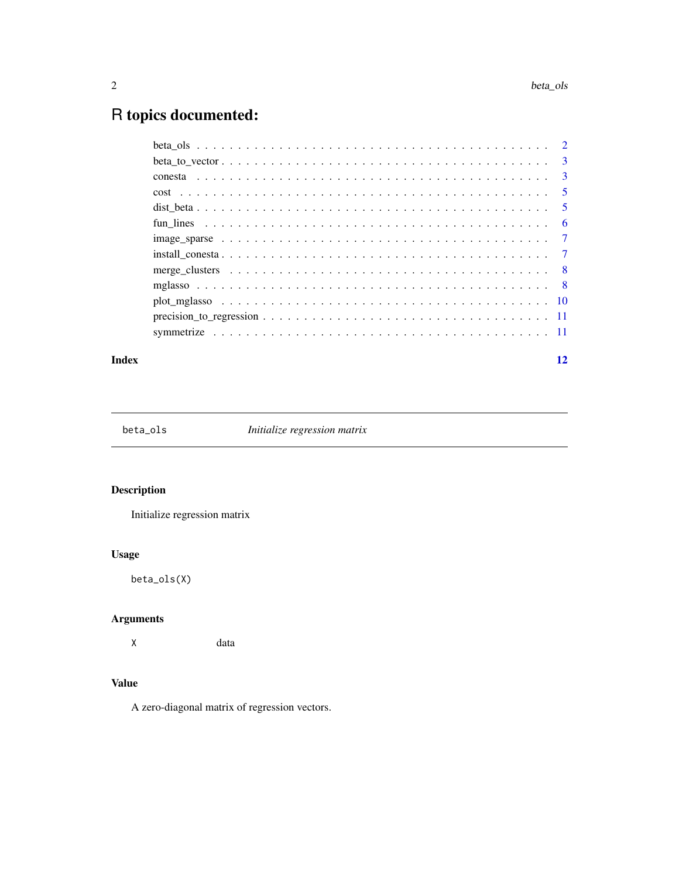## <span id="page-1-0"></span>R topics documented:

| Index | 12 |
|-------|----|
|       |    |
|       |    |
|       |    |
|       |    |
|       |    |
|       |    |
|       |    |
|       |    |
|       |    |
|       |    |
|       |    |
|       |    |
|       |    |

beta\_ols *Initialize regression matrix*

#### Description

Initialize regression matrix

#### Usage

beta\_ols(X)

#### Arguments

X data

#### Value

A zero-diagonal matrix of regression vectors.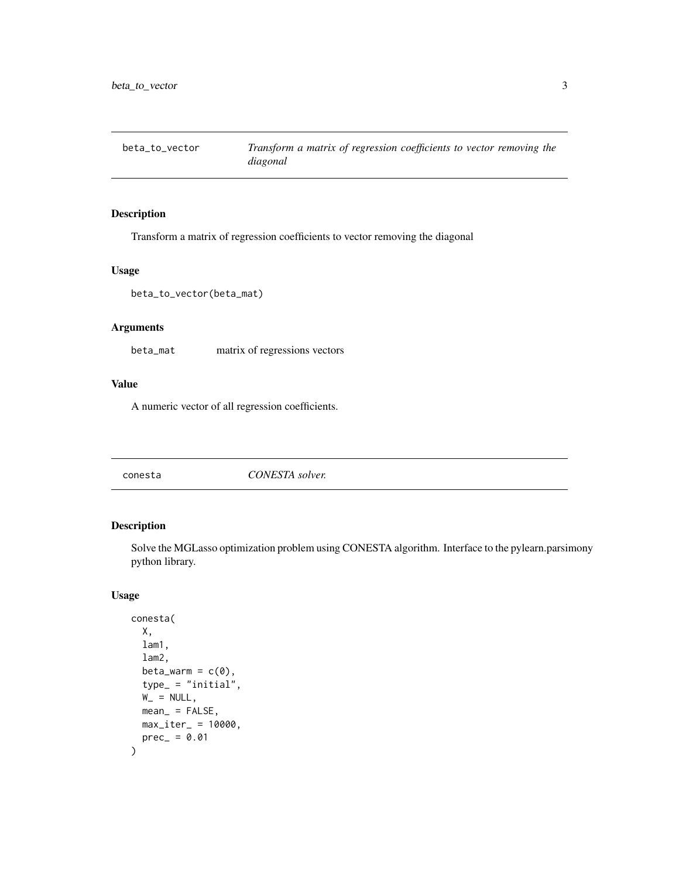<span id="page-2-0"></span>beta\_to\_vector *Transform a matrix of regression coefficients to vector removing the diagonal*

#### Description

Transform a matrix of regression coefficients to vector removing the diagonal

#### Usage

beta\_to\_vector(beta\_mat)

#### Arguments

beta\_mat matrix of regressions vectors

#### Value

A numeric vector of all regression coefficients.

<span id="page-2-1"></span>conesta *CONESTA solver.*

#### Description

Solve the MGLasso optimization problem using CONESTA algorithm. Interface to the pylearn.parsimony python library.

#### Usage

```
conesta(
  X,
  lam1,
  lam2,
  beta_warm = c(\emptyset),
  type_ = "initial",W_ = NULL,
  mean_ = FALSE,
  max\_iter_ = 10000,prec_ = 0.01\mathcal{E}
```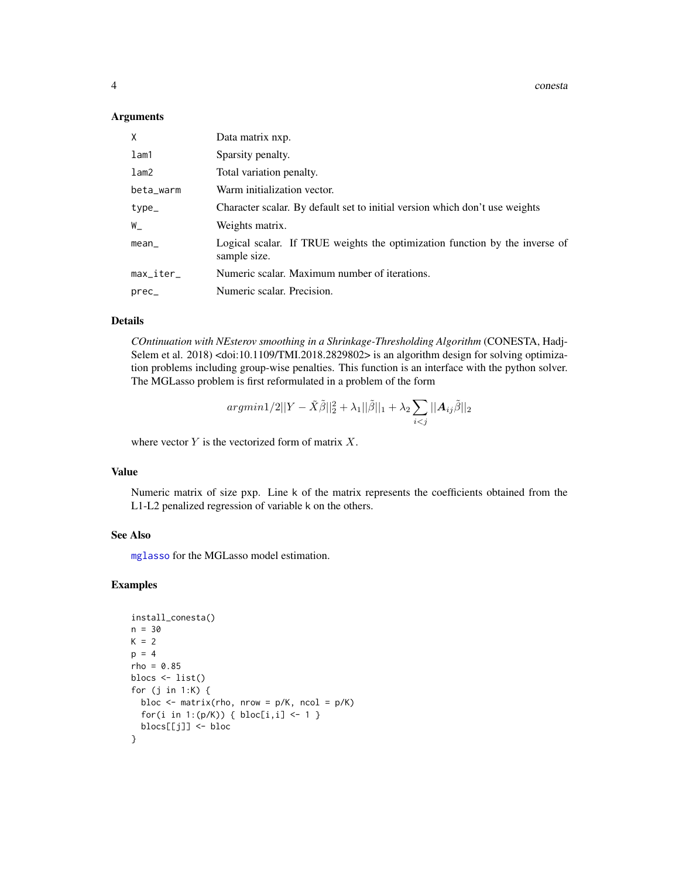4 conesta

#### Arguments

| χ         | Data matrix nxp.                                                                            |  |
|-----------|---------------------------------------------------------------------------------------------|--|
| lam1      | Sparsity penalty.                                                                           |  |
| lam2      | Total variation penalty.                                                                    |  |
| beta_warm | Warm initialization vector.                                                                 |  |
| type_     | Character scalar. By default set to initial version which don't use weights                 |  |
| W_        | Weights matrix.                                                                             |  |
| mean_     | Logical scalar. If TRUE weights the optimization function by the inverse of<br>sample size. |  |
| max_iter_ | Numeric scalar. Maximum number of iterations.                                               |  |
| prec_     | Numeric scalar. Precision.                                                                  |  |

#### Details

*COntinuation with NEsterov smoothing in a Shrinkage-Thresholding Algorithm* (CONESTA, Hadj-Selem et al. 2018) <doi:10.1109/TMI.2018.2829802> is an algorithm design for solving optimization problems including group-wise penalties. This function is an interface with the python solver. The MGLasso problem is first reformulated in a problem of the form

$$
argmin 1/2||Y - \tilde{X}\tilde{\beta}||_2^2 + \lambda_1 ||\tilde{\beta}||_1 + \lambda_2 \sum_{i < j} ||A_{ij}\tilde{\beta}||_2
$$

where vector  $Y$  is the vectorized form of matrix  $X$ .

#### Value

Numeric matrix of size pxp. Line k of the matrix represents the coefficients obtained from the L1-L2 penalized regression of variable k on the others.

#### See Also

[mglasso](#page-7-1) for the MGLasso model estimation.

#### Examples

```
install_conesta()
n = 30
K = 2p = 4rho = 0.85blocs <- list()
for (j in 1:K) {
  bloc <- matrix(rho, nrow = p/K, ncol = p/K)
  for(i in 1:(p/K)) { bloc[i,i] <- 1 }
  blocs[[j]] <- bloc
}
```
<span id="page-3-0"></span>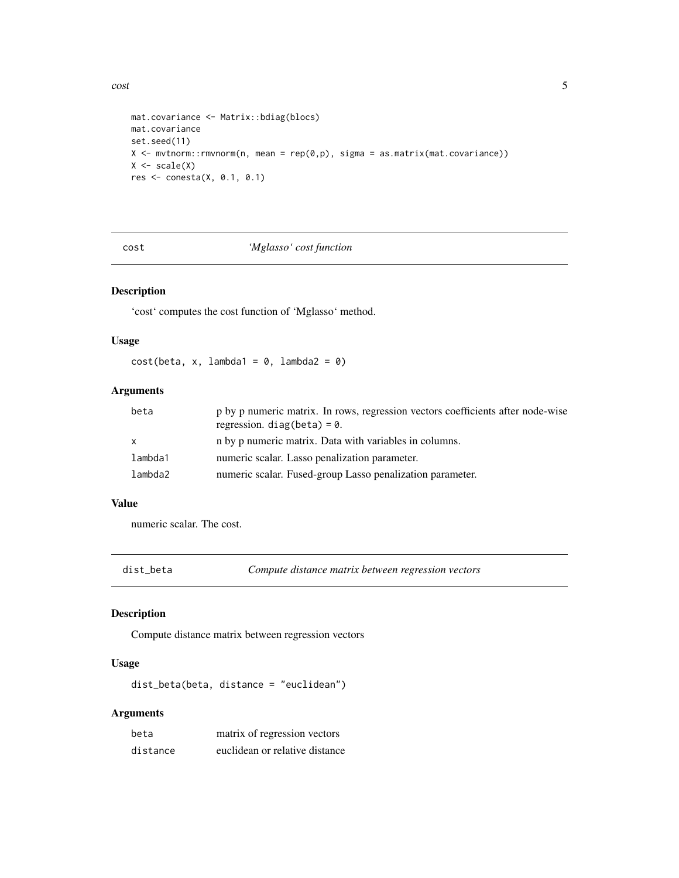<span id="page-4-0"></span> $\frac{1}{5}$ 

```
mat.covariance <- Matrix::bdiag(blocs)
mat.covariance
set.seed(11)
X \leq mvtnorm::rmvnorm(n, mean = rep(0,p), sigma = as.matrix(mat.covariance))
X \leftarrow scale(X)res <- conesta(X, 0.1, 0.1)
```
#### cost *'Mglasso' cost function*

#### Description

'cost' computes the cost function of 'Mglasso' method.

#### Usage

 $cost(beta, x, lambda1 = 0, lambda2 = 0)$ 

### Arguments

| beta    | p by p numeric matrix. In rows, regression vectors coefficients after node-wise<br>regression. $diag(beta) = 0$ . |
|---------|-------------------------------------------------------------------------------------------------------------------|
| x       | n by p numeric matrix. Data with variables in columns.                                                            |
| lambda1 | numeric scalar. Lasso penalization parameter.                                                                     |
| lambda2 | numeric scalar. Fused-group Lasso penalization parameter.                                                         |

#### Value

numeric scalar. The cost.

dist\_beta *Compute distance matrix between regression vectors*

#### Description

Compute distance matrix between regression vectors

#### Usage

dist\_beta(beta, distance = "euclidean")

#### Arguments

| beta     | matrix of regression vectors   |
|----------|--------------------------------|
| distance | euclidean or relative distance |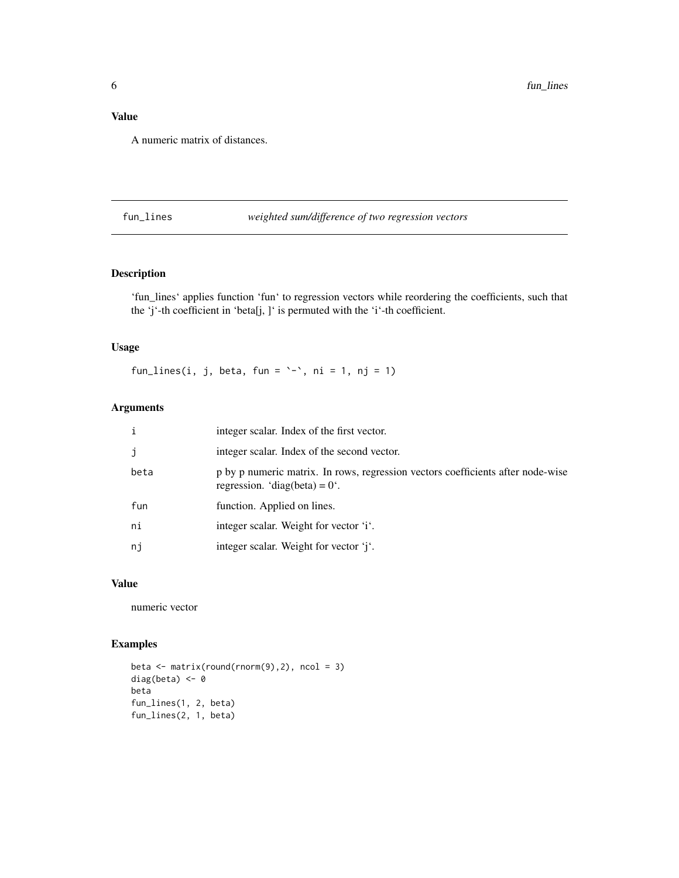#### <span id="page-5-0"></span>Value

A numeric matrix of distances.

#### fun\_lines *weighted sum/difference of two regression vectors*

#### Description

'fun\_lines' applies function 'fun' to regression vectors while reordering the coefficients, such that the 'j'-th coefficient in 'beta[j, ]' is permuted with the 'i'-th coefficient.

#### Usage

fun\_lines(i, j, beta, fun =  $\rightarrow$ , ni = 1, nj = 1)

#### Arguments

| i    | integer scalar. Index of the first vector.                                                                                 |
|------|----------------------------------------------------------------------------------------------------------------------------|
| j    | integer scalar. Index of the second vector.                                                                                |
| beta | p by p numeric matrix. In rows, regression vectors coefficients after node-wise<br>regression. 'diag(beta) = $0^{\circ}$ . |
| fun  | function. Applied on lines.                                                                                                |
| ni   | integer scalar. Weight for vector 'i'.                                                                                     |
| nj   | integer scalar. Weight for vector 'j'.                                                                                     |

#### Value

numeric vector

#### Examples

```
beta \leq matrix(round(rnorm(9),2), ncol = 3)
diag(beta) <-0beta
fun_lines(1, 2, beta)
fun_lines(2, 1, beta)
```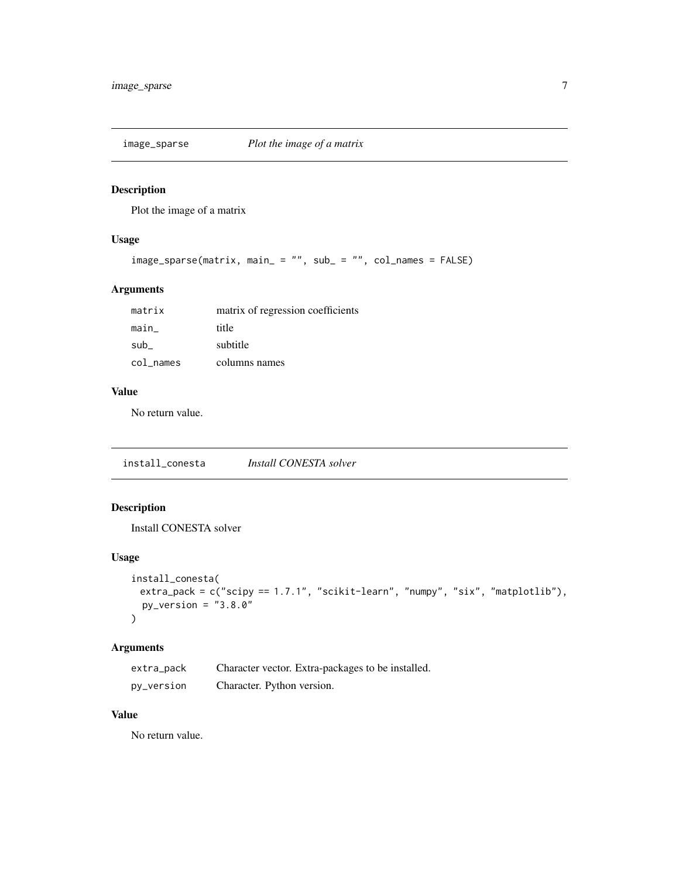<span id="page-6-0"></span>

#### Description

Plot the image of a matrix

#### Usage

```
image_sparse(matrix, main_ = "", sub_ = "", col_names = FALSE)
```
#### Arguments

| matrix    | matrix of regression coefficients |
|-----------|-----------------------------------|
| main      | title                             |
| sub       | subtitle                          |
| col names | columns names                     |

#### Value

No return value.

install\_conesta *Install CONESTA solver*

#### Description

Install CONESTA solver

#### Usage

```
install_conesta(
 extra_pack = c("scipy == 1.7.1", "scikit-learn", "numpy", "six", "matplotlib"),
 py\_version = "3.8.0"\mathcal{L}
```
#### Arguments

| extra_pack | Character vector. Extra-packages to be installed. |
|------------|---------------------------------------------------|
| py_version | Character. Python version.                        |

#### Value

No return value.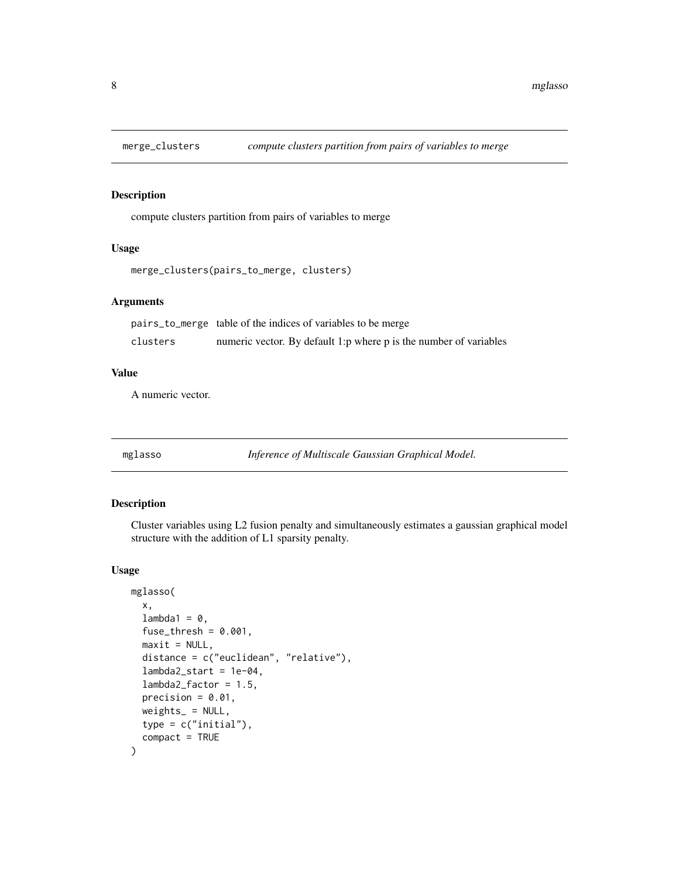<span id="page-7-0"></span>

#### Description

compute clusters partition from pairs of variables to merge

#### Usage

```
merge_clusters(pairs_to_merge, clusters)
```
#### Arguments

|          | pairs_to_merge table of the indices of variables to be merge      |
|----------|-------------------------------------------------------------------|
| clusters | numeric vector. By default 1:p where p is the number of variables |

#### Value

A numeric vector.

<span id="page-7-1"></span>mglasso *Inference of Multiscale Gaussian Graphical Model.*

#### Description

Cluster variables using L2 fusion penalty and simultaneously estimates a gaussian graphical model structure with the addition of L1 sparsity penalty.

#### Usage

```
mglasso(
  x,
  lambda1 = 0,
  fuse_thresh = 0.001,
 maxit = NULL,distance = c("euclidean", "relative"),
  lambda2_start = 1e-04,
  lambda2_factor = 1.5,
  precision = 0.01,
 weights_ = NULL,
  type = c("initial"),
  compact = TRUE
)
```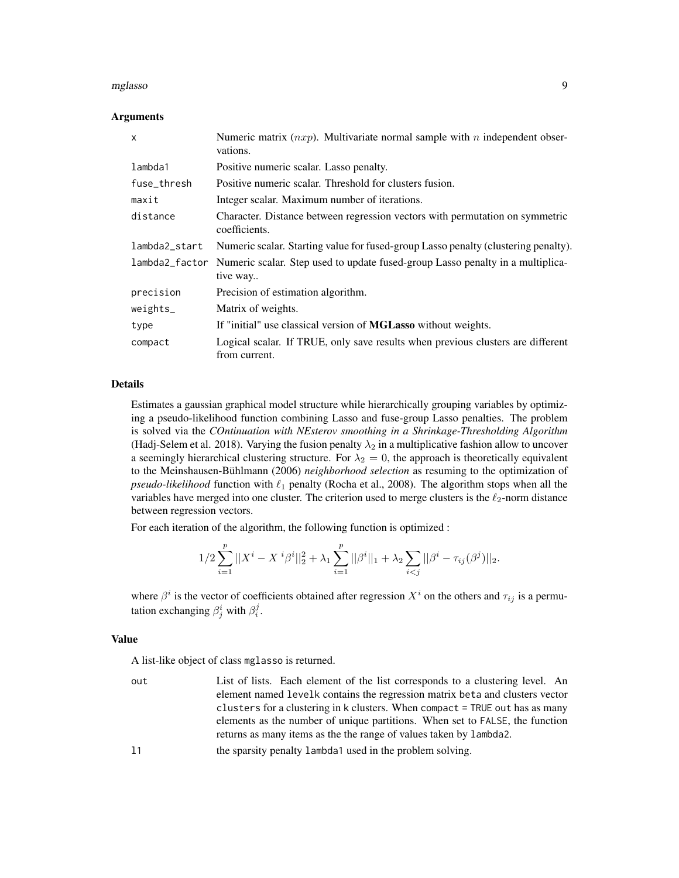#### mglasso 9

#### Arguments

| X              | Numeric matrix $(nxp)$ . Multivariate normal sample with n independent obser-<br>vations.        |
|----------------|--------------------------------------------------------------------------------------------------|
| lambda1        | Positive numeric scalar. Lasso penalty.                                                          |
| fuse_thresh    | Positive numeric scalar. Threshold for clusters fusion.                                          |
| maxit          | Integer scalar. Maximum number of iterations.                                                    |
| distance       | Character. Distance between regression vectors with permutation on symmetric<br>coefficients.    |
| lambda2_start  | Numeric scalar. Starting value for fused-group Lasso penalty (clustering penalty).               |
| lambda2_factor | Numeric scalar. Step used to update fused-group Lasso penalty in a multiplica-<br>tive way       |
| precision      | Precision of estimation algorithm.                                                               |
| $weights_$     | Matrix of weights.                                                                               |
| type           | If "initial" use classical version of MGLasso without weights.                                   |
| compact        | Logical scalar. If TRUE, only save results when previous clusters are different<br>from current. |

#### Details

Estimates a gaussian graphical model structure while hierarchically grouping variables by optimizing a pseudo-likelihood function combining Lasso and fuse-group Lasso penalties. The problem is solved via the *COntinuation with NEsterov smoothing in a Shrinkage-Thresholding Algorithm* (Hadj-Selem et al. 2018). Varying the fusion penalty  $\lambda_2$  in a multiplicative fashion allow to uncover a seemingly hierarchical clustering structure. For  $\lambda_2 = 0$ , the approach is theoretically equivalent to the Meinshausen-Bühlmann (2006) *neighborhood selection* as resuming to the optimization of *pseudo-likelihood* function with  $\ell_1$  penalty (Rocha et al., 2008). The algorithm stops when all the variables have merged into one cluster. The criterion used to merge clusters is the  $\ell_2$ -norm distance between regression vectors.

For each iteration of the algorithm, the following function is optimized :

$$
1/2 \sum_{i=1}^p ||X^i - X^i \beta^i||_2^2 + \lambda_1 \sum_{i=1}^p ||\beta^i||_1 + \lambda_2 \sum_{i < j} ||\beta^i - \tau_{ij}(\beta^j)||_2.
$$

where  $\beta^i$  is the vector of coefficients obtained after regression  $X^i$  on the others and  $\tau_{ij}$  is a permutation exchanging  $\beta_j^i$  with  $\beta_i^j$ .

#### Value

A list-like object of class mglasso is returned.

- out List of lists. Each element of the list corresponds to a clustering level. An element named levelk contains the regression matrix beta and clusters vector clusters for a clustering in k clusters. When compact = TRUE out has as many elements as the number of unique partitions. When set to FALSE, the function returns as many items as the the range of values taken by lambda2.
- l1 the sparsity penalty lambda1 used in the problem solving.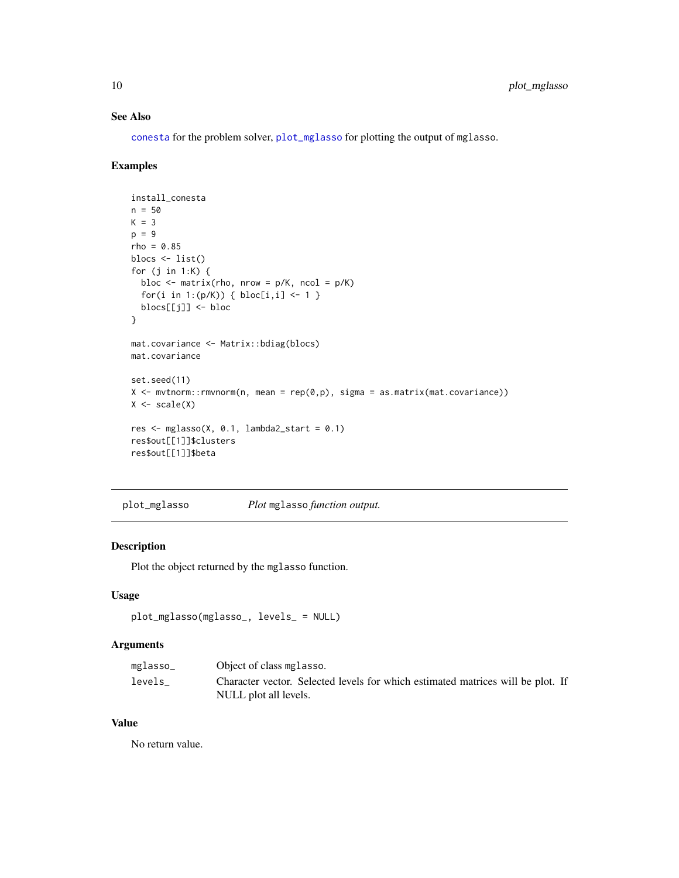#### See Also

[conesta](#page-2-1) for the problem solver, [plot\\_mglasso](#page-9-1) for plotting the output of mglasso.

#### Examples

```
install_conesta
n = 50K = 3p = 9rho = 0.85blocs <- list()
for (j in 1:K) {
 bloc \leq matrix(rho, nrow = p/K, ncol = p/K)
  for(i in 1:(p/K)) { bloc[i,i] <- 1 }
  blocs[[j]] <- bloc
}
mat.covariance <- Matrix::bdiag(blocs)
mat.covariance
set.seed(11)
X \leq mvtnorm::rmvnorm(n, mean = rep(0,p), sigma = as.matrix(mat.covariance))
X \leftarrow scale(X)res \leq mglasso(X, 0.1, lambda2_start = 0.1)
res$out[[1]]$clusters
res$out[[1]]$beta
```
<span id="page-9-1"></span>plot\_mglasso *Plot* mglasso *function output.*

#### Description

Plot the object returned by the mglasso function.

#### Usage

```
plot_mglasso(mglasso_, levels_ = NULL)
```
#### Arguments

| mglasso_ | Object of class mglasso.                                                        |
|----------|---------------------------------------------------------------------------------|
| levels   | Character vector. Selected levels for which estimated matrices will be plot. If |
|          | NULL plot all levels.                                                           |

#### Value

No return value.

<span id="page-9-0"></span>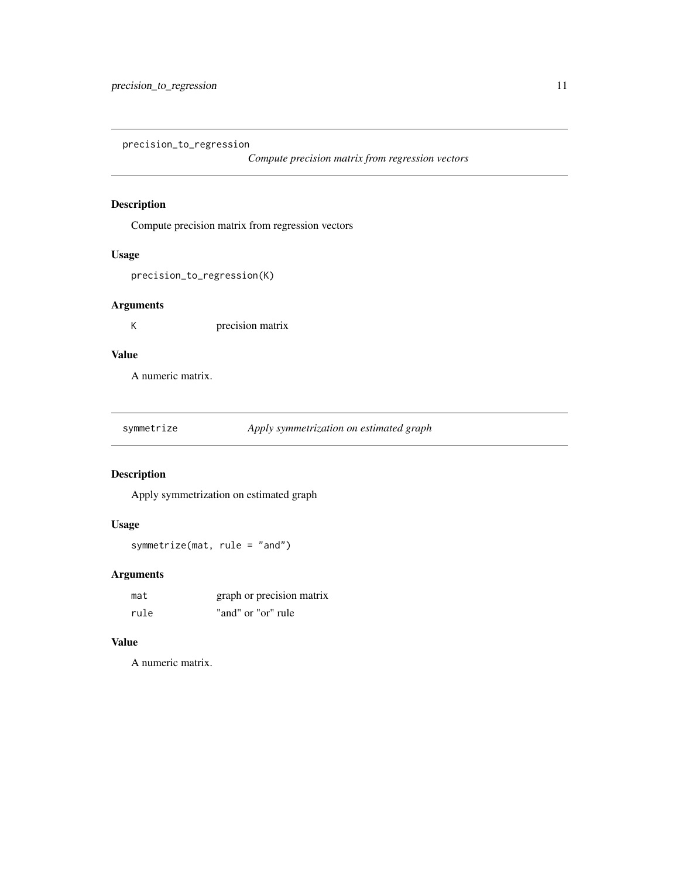<span id="page-10-0"></span>precision\_to\_regression

*Compute precision matrix from regression vectors*

#### Description

Compute precision matrix from regression vectors

#### Usage

precision\_to\_regression(K)

#### Arguments

K precision matrix

#### Value

A numeric matrix.

| symmetrize | Apply symmetrization on estimated graph |  |
|------------|-----------------------------------------|--|
|            |                                         |  |

#### Description

Apply symmetrization on estimated graph

#### Usage

symmetrize(mat, rule = "and")

#### Arguments

| mat  | graph or precision matrix |
|------|---------------------------|
| rule | "and" or "or" rule        |

#### Value

A numeric matrix.